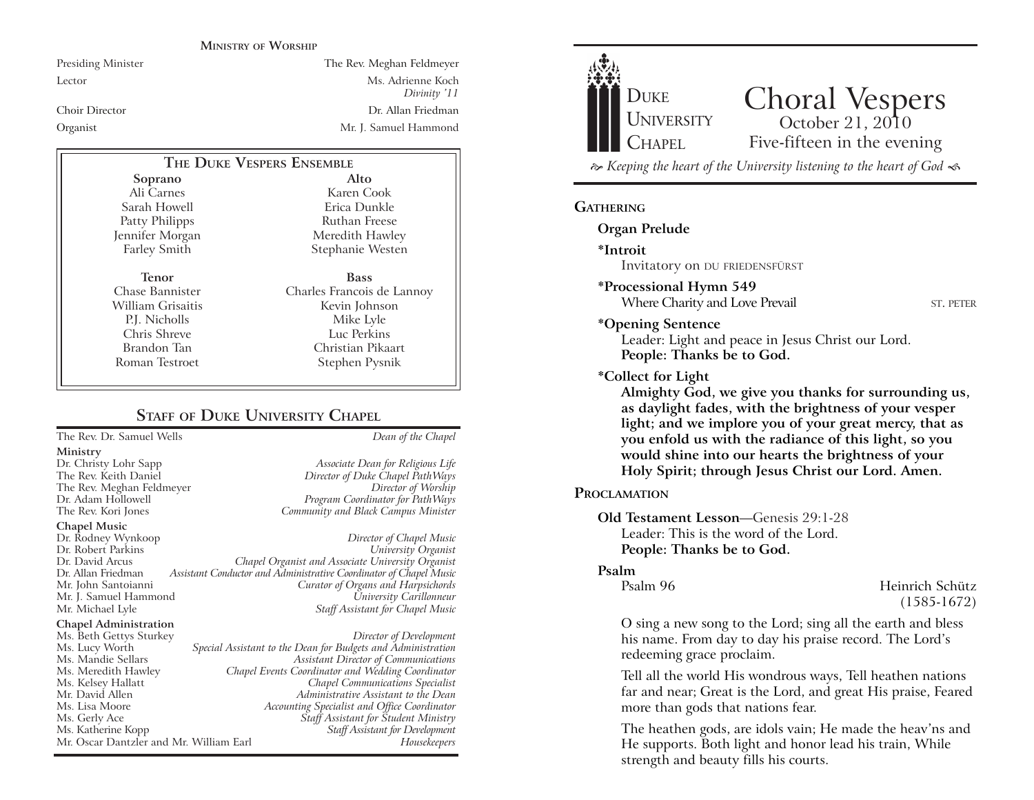#### **MINISTRY OF WORSHIP**

Presiding Minister The Rev. Meghan Feldmeyer Lector Ms. Adrienne Koch *Divinity* '11 Choir Director Dr. Allan Friedman Organist Mr. J. Samuel Hammond

## **THE DUKE VESPERS ENSEMBLE**

**Soprano** Ali Carnes Sarah Howell Patty Philipps Jennifer Morgan Farley Smith

**Tenor** Chase Bannister William Grisaitis P.J. Nicholls Chris Shreve Brandon Tan Roman Testroet

Ruthan Freese Meredith Hawley Stephanie Westen **Bass** Charles Francois de Lannoy Kevin Johnson Mike Lyle Luc Perkins Christian Pikaart

Stephen Pysnik

**Alto** Karen Cook Erica Dunkle

# **STAFF** OF **DUKE UNIVERSITY CHAPEL**

The Rev. Dr. Samuel Wells *Dean of the Chapel*

#### **Ministry**

The Rev. Meghan Feldmeyer<br>Dr. Adam Hollowell

**Chapel Music**

Dr. Rodney Wynkoop *Director of Chapel Music* Dr. Robert Parkins *University Organist* Dr. David Arcus *Chapel Organist and Associate University Organist* Dr. Allan Friedman *Assistant Conductor and Administrative Coordinator of Chapel Music* **Curator of Organs and Harpsichords** Mr. J. Samuel Hammond *University Carillonneur* **Staff Assistant for Chapel Music** 

#### **Chapel Administration**

Mr. Oscar Dantzler and Mr. William Earl

Dr. Christy Lohr Sapp *Associate Dean for Religious Life* The Rev. Keith Daniel *Director of Duke Chapel PathWays* Program Coordinator for PathWays The Rev. Kori Jones *Community and Black Campus Minister*

Ms. Beth Gettys Sturkey *Director of Development* Ms. Lucy Worth *Special Assistant to the Dean for Budgets and Administration* Ms. Mandie Sellars *Assistant Director of Communications* Ms. Meredith Hawley *Chapel Events Coordinator and Wedding Coordinator* Ms. Kelsey Hallatt *Chapel Communications Specialist* Mr. David Allen *Administrative Assistant to the Dean* Ms. Lisa Moore *Accounting Specialist and Office Coordinator* Ms. Gerly Ace *Staff Assistant for Student Ministry* Ms. Katherine Kopp *Staff Assistant for Development*



#### **GATHERING**

| Organ Prelude                                                                                                                                                                                                                                                                                                                                                             |                                    |
|---------------------------------------------------------------------------------------------------------------------------------------------------------------------------------------------------------------------------------------------------------------------------------------------------------------------------------------------------------------------------|------------------------------------|
| *Introit<br>Invitatory on DU FRIEDENSFÜRST                                                                                                                                                                                                                                                                                                                                |                                    |
| *Processional Hymn 549<br>Where Charity and Love Prevail                                                                                                                                                                                                                                                                                                                  | <b>ST. PETER</b>                   |
| *Opening Sentence<br>Leader: Light and peace in Jesus Christ our Lord.<br>People: Thanks be to God.                                                                                                                                                                                                                                                                       |                                    |
| <i>*</i> Collect for Light<br>Almighty God, we give you thanks for surrounding us,<br>as daylight fades, with the brightness of your vesper<br>light; and we implore you of your great mercy, that as<br>you enfold us with the radiance of this light, so you<br>would shine into our hearts the brightness of your<br>Holy Spirit; through Jesus Christ our Lord. Amen. |                                    |
| PROCLAMATION                                                                                                                                                                                                                                                                                                                                                              |                                    |
| Old Testament Lesson-Genesis 29:1-28<br>Leader: This is the word of the Lord.<br>People: Thanks be to God.                                                                                                                                                                                                                                                                |                                    |
| Psalm                                                                                                                                                                                                                                                                                                                                                                     |                                    |
| Psalm 96                                                                                                                                                                                                                                                                                                                                                                  | Heinrich Schütz<br>$(1585 - 1672)$ |
| O sing a new song to the Lord; sing all the earth and bless<br>his name. From day to day his praise record. The Lord's                                                                                                                                                                                                                                                    |                                    |

Tell all the world His wondrous ways, Tell heathen nations far and near; Great is the Lord, and great His praise, Feared more than gods that nations fear.

redeeming grace proclaim.

The heathen gods, are idols vain; He made the heav'ns and He supports. Both light and honor lead his train, While strength and beauty fills his courts.